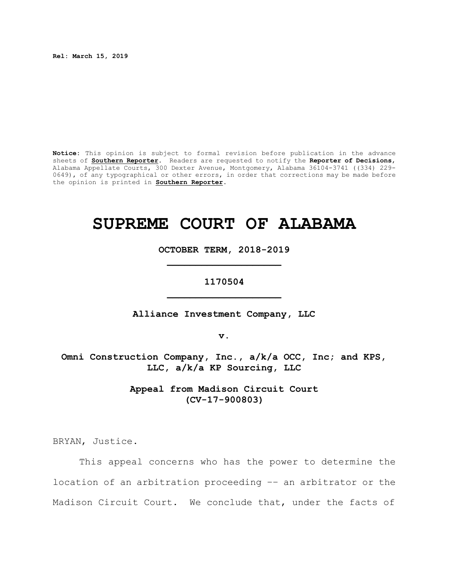**Rel: March 15, 2019**

**Notice:** This opinion is subject to formal revision before publication in the advance sheets of **Southern Reporter**. Readers are requested to notify the **Reporter of Decisions**, Alabama Appellate Courts, 300 Dexter Avenue, Montgomery, Alabama 36104-3741 ((334) 229- 0649), of any typographical or other errors, in order that corrections may be made before the opinion is printed in **Southern Reporter**.

# **SUPREME COURT OF ALABAMA**

**OCTOBER TERM, 2018-2019 \_\_\_\_\_\_\_\_\_\_\_\_\_\_\_\_\_\_\_\_**

**1170504 \_\_\_\_\_\_\_\_\_\_\_\_\_\_\_\_\_\_\_\_**

**Alliance Investment Company, LLC**

**v.**

**Omni Construction Company, Inc., a/k/a OCC, Inc; and KPS, LLC, a/k/a KP Sourcing, LLC**

> **Appeal from Madison Circuit Court (CV-17-900803)**

BRYAN, Justice.

This appeal concerns who has the power to determine the location of an arbitration proceeding –– an arbitrator or the Madison Circuit Court. We conclude that, under the facts of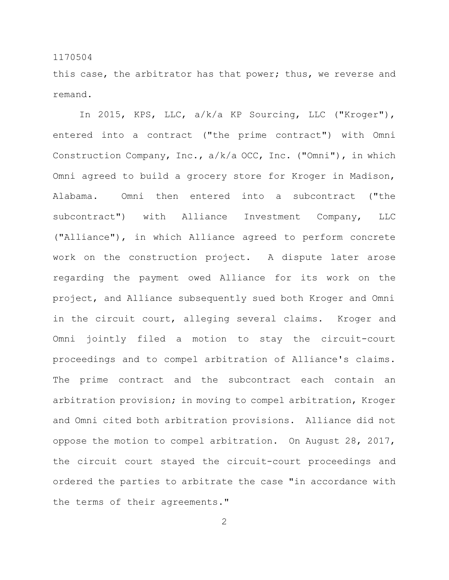this case, the arbitrator has that power; thus, we reverse and remand.

In 2015, KPS, LLC, a/k/a KP Sourcing, LLC ("Kroger"), entered into a contract ("the prime contract") with Omni Construction Company, Inc., a/k/a OCC, Inc. ("Omni"), in which Omni agreed to build a grocery store for Kroger in Madison, Alabama. Omni then entered into a subcontract ("the subcontract") with Alliance Investment Company, LLC ("Alliance"), in which Alliance agreed to perform concrete work on the construction project. A dispute later arose regarding the payment owed Alliance for its work on the project, and Alliance subsequently sued both Kroger and Omni in the circuit court, alleging several claims. Kroger and Omni jointly filed a motion to stay the circuit-court proceedings and to compel arbitration of Alliance's claims. The prime contract and the subcontract each contain an arbitration provision; in moving to compel arbitration, Kroger and Omni cited both arbitration provisions. Alliance did not oppose the motion to compel arbitration. On August 28, 2017, the circuit court stayed the circuit-court proceedings and ordered the parties to arbitrate the case "in accordance with the terms of their agreements."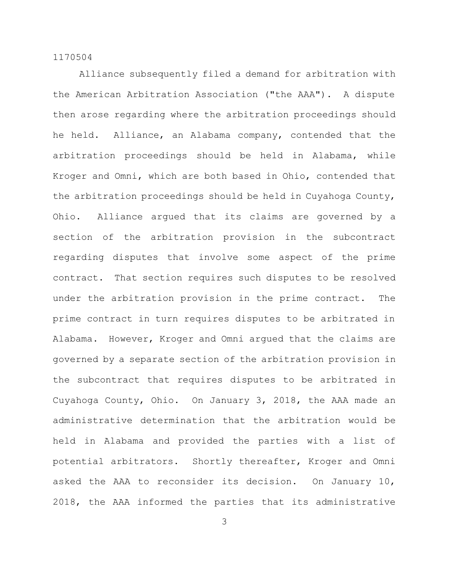Alliance subsequently filed a demand for arbitration with the American Arbitration Association ("the AAA"). A dispute then arose regarding where the arbitration proceedings should he held. Alliance, an Alabama company, contended that the arbitration proceedings should be held in Alabama, while Kroger and Omni, which are both based in Ohio, contended that the arbitration proceedings should be held in Cuyahoga County, Ohio. Alliance argued that its claims are governed by a section of the arbitration provision in the subcontract regarding disputes that involve some aspect of the prime contract. That section requires such disputes to be resolved under the arbitration provision in the prime contract. The prime contract in turn requires disputes to be arbitrated in Alabama. However, Kroger and Omni argued that the claims are governed by a separate section of the arbitration provision in the subcontract that requires disputes to be arbitrated in Cuyahoga County, Ohio. On January 3, 2018, the AAA made an administrative determination that the arbitration would be held in Alabama and provided the parties with a list of potential arbitrators. Shortly thereafter, Kroger and Omni asked the AAA to reconsider its decision. On January 10, 2018, the AAA informed the parties that its administrative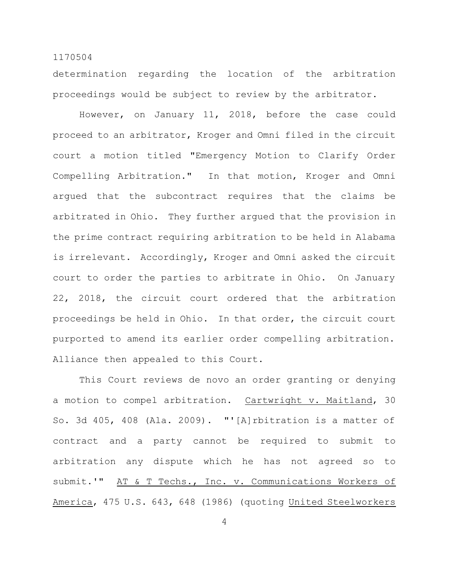determination regarding the location of the arbitration proceedings would be subject to review by the arbitrator.

However, on January 11, 2018, before the case could proceed to an arbitrator, Kroger and Omni filed in the circuit court a motion titled "Emergency Motion to Clarify Order Compelling Arbitration." In that motion, Kroger and Omni argued that the subcontract requires that the claims be arbitrated in Ohio. They further argued that the provision in the prime contract requiring arbitration to be held in Alabama is irrelevant. Accordingly, Kroger and Omni asked the circuit court to order the parties to arbitrate in Ohio. On January 22, 2018, the circuit court ordered that the arbitration proceedings be held in Ohio. In that order, the circuit court purported to amend its earlier order compelling arbitration. Alliance then appealed to this Court.

This Court reviews de novo an order granting or denying a motion to compel arbitration. Cartwright v. Maitland, 30 So. 3d 405, 408 (Ala. 2009). "'[A]rbitration is a matter of contract and a party cannot be required to submit to arbitration any dispute which he has not agreed so to submit.'" AT & T Techs., Inc. v. Communications Workers of America, 475 U.S. 643, 648 (1986) (quoting United Steelworkers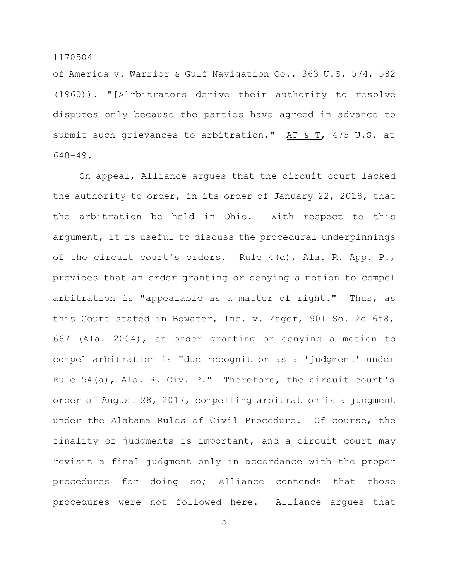of America v. Warrior & Gulf Navigation Co., 363 U.S. 574, 582 (1960)). "[A]rbitrators derive their authority to resolve disputes only because the parties have agreed in advance to submit such grievances to arbitration." AT  $\&$  T, 475 U.S. at 648-49.

On appeal, Alliance argues that the circuit court lacked the authority to order, in its order of January 22, 2018, that the arbitration be held in Ohio. With respect to this argument, it is useful to discuss the procedural underpinnings of the circuit court's orders. Rule 4(d), Ala. R. App. P., provides that an order granting or denying a motion to compel arbitration is "appealable as a matter of right." Thus, as this Court stated in Bowater, Inc. v. Zager, 901 So. 2d 658, 667 (Ala. 2004), an order granting or denying a motion to compel arbitration is "due recognition as a 'judgment' under Rule 54(a), Ala. R. Civ. P." Therefore, the circuit court's order of August 28, 2017, compelling arbitration is a judgment under the Alabama Rules of Civil Procedure. Of course, the finality of judgments is important, and a circuit court may revisit a final judgment only in accordance with the proper procedures for doing so; Alliance contends that those procedures were not followed here. Alliance argues that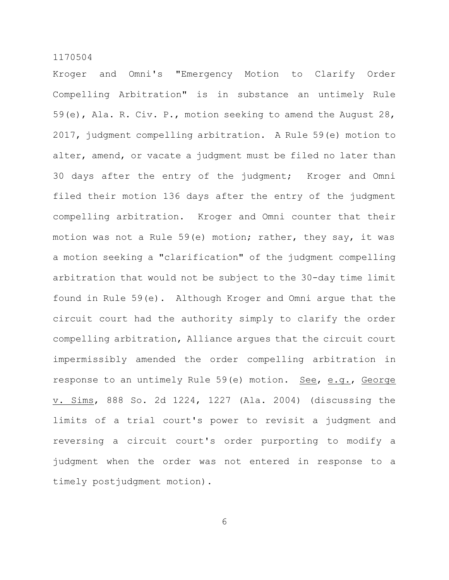Kroger and Omni's "Emergency Motion to Clarify Order Compelling Arbitration" is in substance an untimely Rule 59(e), Ala. R. Civ. P., motion seeking to amend the August 28, 2017, judgment compelling arbitration. A Rule 59(e) motion to alter, amend, or vacate a judgment must be filed no later than 30 days after the entry of the judgment; Kroger and Omni filed their motion 136 days after the entry of the judgment compelling arbitration. Kroger and Omni counter that their motion was not a Rule 59(e) motion; rather, they say, it was a motion seeking a "clarification" of the judgment compelling arbitration that would not be subject to the 30-day time limit found in Rule 59(e). Although Kroger and Omni argue that the circuit court had the authority simply to clarify the order compelling arbitration, Alliance argues that the circuit court impermissibly amended the order compelling arbitration in response to an untimely Rule 59(e) motion. See, e.g., George v. Sims, 888 So. 2d 1224, 1227 (Ala. 2004) (discussing the limits of a trial court's power to revisit a judgment and reversing a circuit court's order purporting to modify a judgment when the order was not entered in response to a timely postjudgment motion).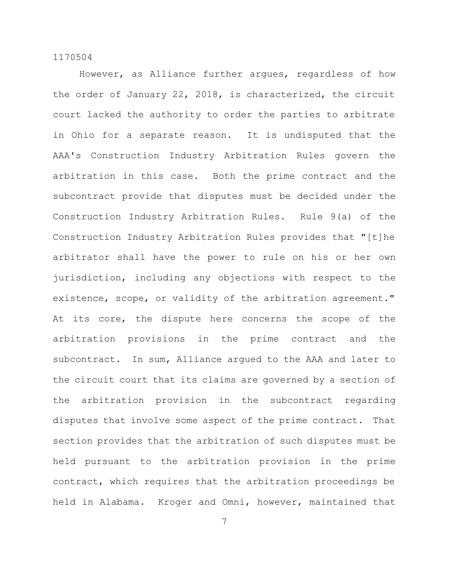However, as Alliance further argues, regardless of how the order of January 22, 2018, is characterized, the circuit court lacked the authority to order the parties to arbitrate in Ohio for a separate reason. It is undisputed that the AAA's Construction Industry Arbitration Rules govern the arbitration in this case. Both the prime contract and the subcontract provide that disputes must be decided under the Construction Industry Arbitration Rules. Rule 9(a) of the Construction Industry Arbitration Rules provides that "[t]he arbitrator shall have the power to rule on his or her own jurisdiction, including any objections with respect to the existence, scope, or validity of the arbitration agreement." At its core, the dispute here concerns the scope of the arbitration provisions in the prime contract and the subcontract. In sum, Alliance argued to the AAA and later to the circuit court that its claims are governed by a section of the arbitration provision in the subcontract regarding disputes that involve some aspect of the prime contract. That section provides that the arbitration of such disputes must be held pursuant to the arbitration provision in the prime contract, which requires that the arbitration proceedings be held in Alabama. Kroger and Omni, however, maintained that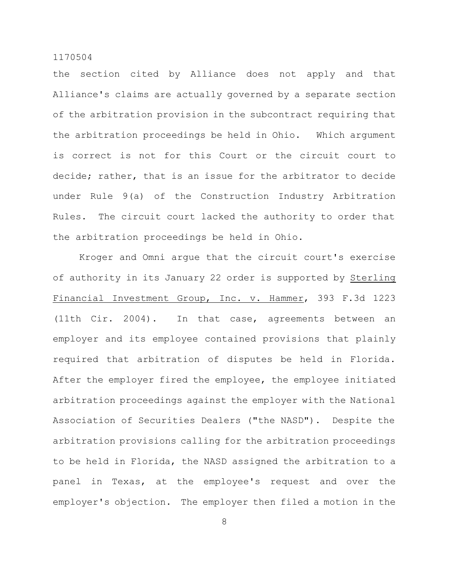the section cited by Alliance does not apply and that Alliance's claims are actually governed by a separate section of the arbitration provision in the subcontract requiring that the arbitration proceedings be held in Ohio. Which argument is correct is not for this Court or the circuit court to decide; rather, that is an issue for the arbitrator to decide under Rule 9(a) of the Construction Industry Arbitration Rules. The circuit court lacked the authority to order that the arbitration proceedings be held in Ohio.

Kroger and Omni argue that the circuit court's exercise of authority in its January 22 order is supported by Sterling Financial Investment Group, Inc. v. Hammer, 393 F.3d 1223 (11th Cir. 2004). In that case, agreements between an employer and its employee contained provisions that plainly required that arbitration of disputes be held in Florida. After the employer fired the employee, the employee initiated arbitration proceedings against the employer with the National Association of Securities Dealers ("the NASD"). Despite the arbitration provisions calling for the arbitration proceedings to be held in Florida, the NASD assigned the arbitration to a panel in Texas, at the employee's request and over the employer's objection. The employer then filed a motion in the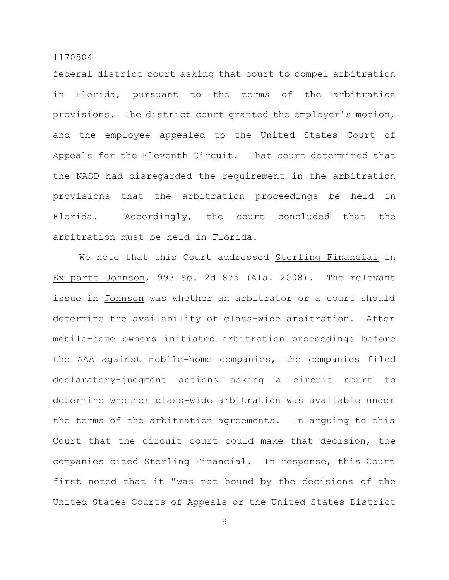federal district court asking that court to compel arbitration in Florida, pursuant to the terms of the arbitration provisions. The district court granted the employer's motion, and the employee appealed to the United States Court of Appeals for the Eleventh Circuit. That court determined that the NASD had disregarded the requirement in the arbitration provisions that the arbitration proceedings be held in Florida. Accordingly, the court concluded that the arbitration must be held in Florida.

We note that this Court addressed Sterling Financial in Ex parte Johnson, 993 So. 2d 875 (Ala. 2008). The relevant issue in Johnson was whether an arbitrator or a court should determine the availability of class-wide arbitration. After mobile-home owners initiated arbitration proceedings before the AAA against mobile-home companies, the companies filed declaratory-judgment actions asking a circuit court to determine whether class-wide arbitration was available under the terms of the arbitration agreements. In arguing to this Court that the circuit court could make that decision, the companies cited Sterling Financial. In response, this Court first noted that it "was not bound by the decisions of the United States Courts of Appeals or the United States District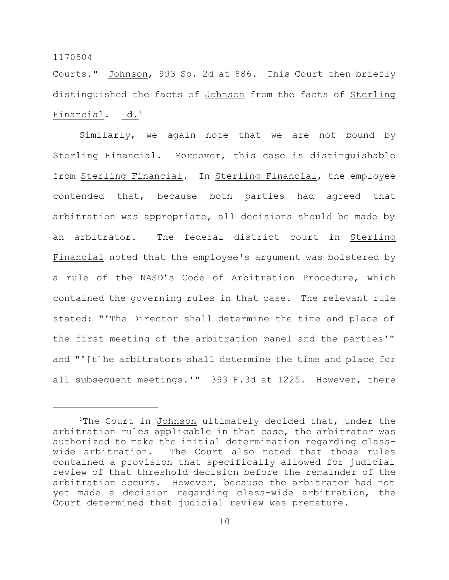Courts." Johnson, 993 So. 2d at 886. This Court then briefly distinguished the facts of Johnson from the facts of Sterling Financial. Id.<sup>1</sup>

Similarly, we again note that we are not bound by Sterling Financial. Moreover, this case is distinguishable from Sterling Financial. In Sterling Financial, the employee contended that, because both parties had agreed that arbitration was appropriate, all decisions should be made by an arbitrator. The federal district court in Sterling Financial noted that the employee's argument was bolstered by a rule of the NASD's Code of Arbitration Procedure, which contained the governing rules in that case. The relevant rule stated: "'The Director shall determine the time and place of the first meeting of the arbitration panel and the parties'" and "'[t]he arbitrators shall determine the time and place for all subsequent meetings.'" 393 F.3d at 1225. However, there

<sup>&</sup>lt;sup>1</sup>The Court in Johnson ultimately decided that, under the arbitration rules applicable in that case, the arbitrator was authorized to make the initial determination regarding classwide arbitration. The Court also noted that those rules contained a provision that specifically allowed for judicial review of that threshold decision before the remainder of the arbitration occurs. However, because the arbitrator had not yet made a decision regarding class-wide arbitration, the Court determined that judicial review was premature.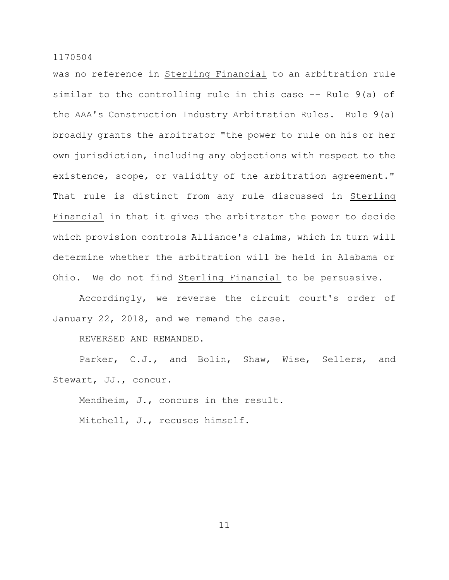was no reference in Sterling Financial to an arbitration rule similar to the controlling rule in this case –– Rule 9(a) of the AAA's Construction Industry Arbitration Rules. Rule 9(a) broadly grants the arbitrator "the power to rule on his or her own jurisdiction, including any objections with respect to the existence, scope, or validity of the arbitration agreement." That rule is distinct from any rule discussed in Sterling Financial in that it gives the arbitrator the power to decide which provision controls Alliance's claims, which in turn will determine whether the arbitration will be held in Alabama or Ohio. We do not find Sterling Financial to be persuasive.

Accordingly, we reverse the circuit court's order of January 22, 2018, and we remand the case.

REVERSED AND REMANDED.

Parker, C.J., and Bolin, Shaw, Wise, Sellers, and Stewart, JJ., concur.

Mendheim, J., concurs in the result. Mitchell, J., recuses himself.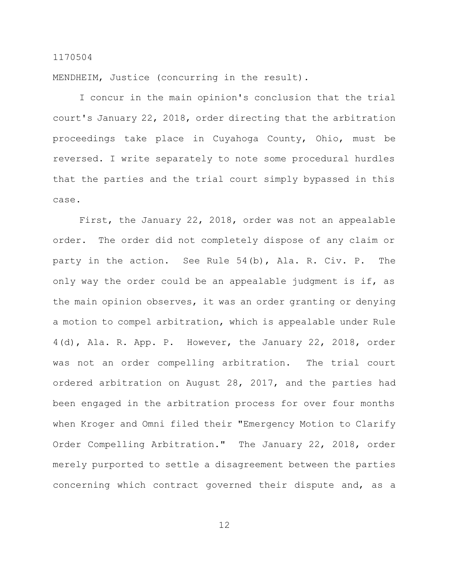MENDHEIM, Justice (concurring in the result).

I concur in the main opinion's conclusion that the trial court's January 22, 2018, order directing that the arbitration proceedings take place in Cuyahoga County, Ohio, must be reversed. I write separately to note some procedural hurdles that the parties and the trial court simply bypassed in this case.

First, the January 22, 2018, order was not an appealable order. The order did not completely dispose of any claim or party in the action. See Rule 54(b), Ala. R. Civ. P. The only way the order could be an appealable judgment is if, as the main opinion observes, it was an order granting or denying a motion to compel arbitration, which is appealable under Rule 4(d), Ala. R. App. P. However, the January 22, 2018, order was not an order compelling arbitration. The trial court ordered arbitration on August 28, 2017, and the parties had been engaged in the arbitration process for over four months when Kroger and Omni filed their "Emergency Motion to Clarify Order Compelling Arbitration." The January 22, 2018, order merely purported to settle a disagreement between the parties concerning which contract governed their dispute and, as a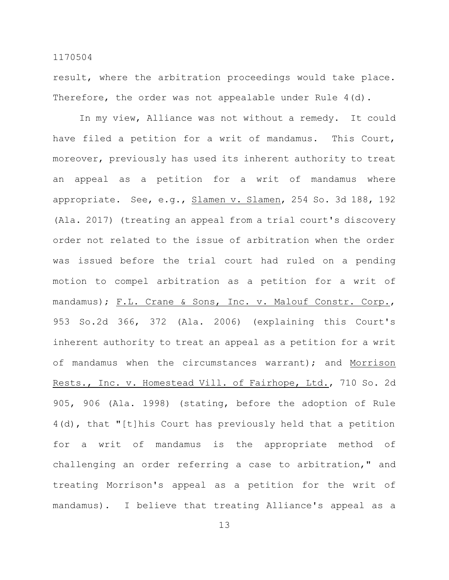result, where the arbitration proceedings would take place. Therefore, the order was not appealable under Rule 4(d).

In my view, Alliance was not without a remedy. It could have filed a petition for a writ of mandamus. This Court, moreover, previously has used its inherent authority to treat an appeal as a petition for a writ of mandamus where appropriate. See, e.g., Slamen v. Slamen, 254 So. 3d 188, 192 (Ala. 2017) (treating an appeal from a trial court's discovery order not related to the issue of arbitration when the order was issued before the trial court had ruled on a pending motion to compel arbitration as a petition for a writ of mandamus); F.L. Crane & Sons, Inc. v. Malouf Constr. Corp., 953 So.2d 366, 372 (Ala. 2006) (explaining this Court's inherent authority to treat an appeal as a petition for a writ of mandamus when the circumstances warrant); and Morrison Rests., Inc. v. Homestead Vill. of Fairhope, Ltd., 710 So. 2d 905, 906 (Ala. 1998) (stating, before the adoption of Rule 4(d), that "[t]his Court has previously held that a petition for a writ of mandamus is the appropriate method of challenging an order referring a case to arbitration," and treating Morrison's appeal as a petition for the writ of mandamus). I believe that treating Alliance's appeal as a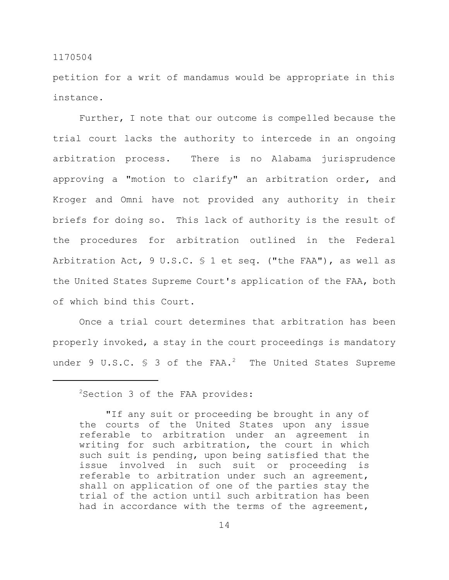petition for a writ of mandamus would be appropriate in this instance.

Further, I note that our outcome is compelled because the trial court lacks the authority to intercede in an ongoing arbitration process. There is no Alabama jurisprudence approving a "motion to clarify" an arbitration order, and Kroger and Omni have not provided any authority in their briefs for doing so. This lack of authority is the result of the procedures for arbitration outlined in the Federal Arbitration Act, 9 U.S.C. § 1 et seq. ("the FAA"), as well as the United States Supreme Court's application of the FAA, both of which bind this Court.

Once a trial court determines that arbitration has been properly invoked, a stay in the court proceedings is mandatory under 9 U.S.C.  $\frac{1}{5}$  3 of the FAA.<sup>2</sup> The United States Supreme

<sup>&</sup>lt;sup>2</sup>Section 3 of the FAA provides:

<sup>&</sup>quot;If any suit or proceeding be brought in any of the courts of the United States upon any issue referable to arbitration under an agreement in writing for such arbitration, the court in which such suit is pending, upon being satisfied that the issue involved in such suit or proceeding is referable to arbitration under such an agreement, shall on application of one of the parties stay the trial of the action until such arbitration has been had in accordance with the terms of the agreement,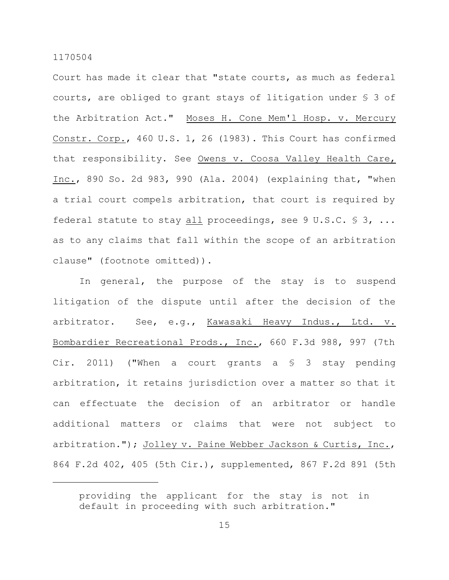Court has made it clear that "state courts, as much as federal courts, are obliged to grant stays of litigation under § 3 of the Arbitration Act." Moses H. Cone Mem'l Hosp. v. Mercury Constr. Corp., 460 U.S. 1, 26 (1983). This Court has confirmed that responsibility. See Owens v. Coosa Valley Health Care, Inc., 890 So. 2d 983, 990 (Ala. 2004) (explaining that, "when a trial court compels arbitration, that court is required by federal statute to stay all proceedings, see 9 U.S.C.  $\$\,3, \ldots$ as to any claims that fall within the scope of an arbitration clause" (footnote omitted)).

In general, the purpose of the stay is to suspend litigation of the dispute until after the decision of the arbitrator. See, e.g., Kawasaki Heavy Indus., Ltd. v. Bombardier Recreational Prods., Inc., 660 F.3d 988, 997 (7th Cir. 2011) ("When a court grants a  $\S$  3 stay pending arbitration, it retains jurisdiction over a matter so that it can effectuate the decision of an arbitrator or handle additional matters or claims that were not subject to arbitration."); Jolley v. Paine Webber Jackson & Curtis, Inc., 864 F.2d 402, 405 (5th Cir.), supplemented, 867 F.2d 891 (5th

providing the applicant for the stay is not in default in proceeding with such arbitration."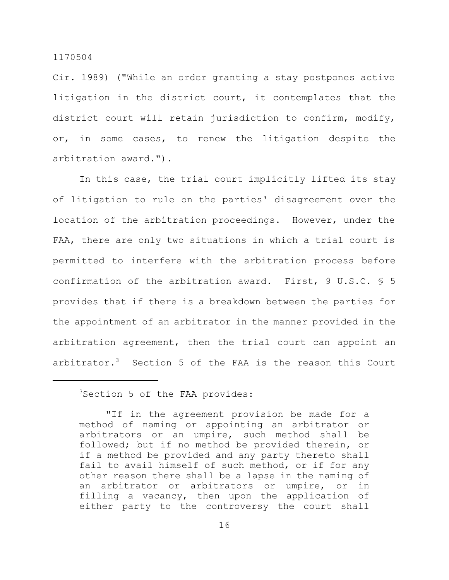Cir. 1989) ("While an order granting a stay postpones active litigation in the district court, it contemplates that the district court will retain jurisdiction to confirm, modify, or, in some cases, to renew the litigation despite the arbitration award.").

In this case, the trial court implicitly lifted its stay of litigation to rule on the parties' disagreement over the location of the arbitration proceedings. However, under the FAA, there are only two situations in which a trial court is permitted to interfere with the arbitration process before confirmation of the arbitration award. First, 9 U.S.C. § 5 provides that if there is a breakdown between the parties for the appointment of an arbitrator in the manner provided in the arbitration agreement, then the trial court can appoint an arbitrator.<sup>3</sup> Section 5 of the FAA is the reason this Court

<sup>3</sup>Section 5 of the FAA provides:

<sup>&</sup>quot;If in the agreement provision be made for a method of naming or appointing an arbitrator or arbitrators or an umpire, such method shall be followed; but if no method be provided therein, or if a method be provided and any party thereto shall fail to avail himself of such method, or if for any other reason there shall be a lapse in the naming of an arbitrator or arbitrators or umpire, or in filling a vacancy, then upon the application of either party to the controversy the court shall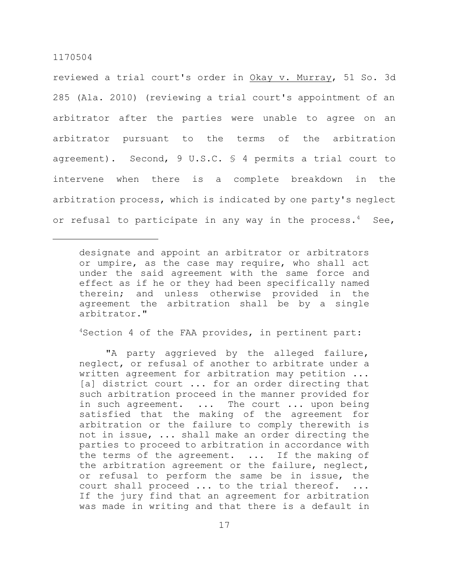reviewed a trial court's order in Okay v. Murray, 51 So. 3d 285 (Ala. 2010) (reviewing a trial court's appointment of an arbitrator after the parties were unable to agree on an arbitrator pursuant to the terms of the arbitration agreement). Second, 9 U.S.C. § 4 permits a trial court to intervene when there is a complete breakdown in the arbitration process, which is indicated by one party's neglect or refusal to participate in any way in the process.<sup>4</sup> See,

<sup>4</sup>Section 4 of the FAA provides, in pertinent part:

"A party aggrieved by the alleged failure, neglect, or refusal of another to arbitrate under a written agreement for arbitration may petition ... [a] district court ... for an order directing that such arbitration proceed in the manner provided for in such agreement. ... The court ... upon being satisfied that the making of the agreement for arbitration or the failure to comply therewith is not in issue, ... shall make an order directing the parties to proceed to arbitration in accordance with the terms of the agreement. ... If the making of the arbitration agreement or the failure, neglect, or refusal to perform the same be in issue, the court shall proceed ... to the trial thereof. ... If the jury find that an agreement for arbitration was made in writing and that there is a default in

designate and appoint an arbitrator or arbitrators or umpire, as the case may require, who shall act under the said agreement with the same force and effect as if he or they had been specifically named therein; and unless otherwise provided in the agreement the arbitration shall be by a single arbitrator."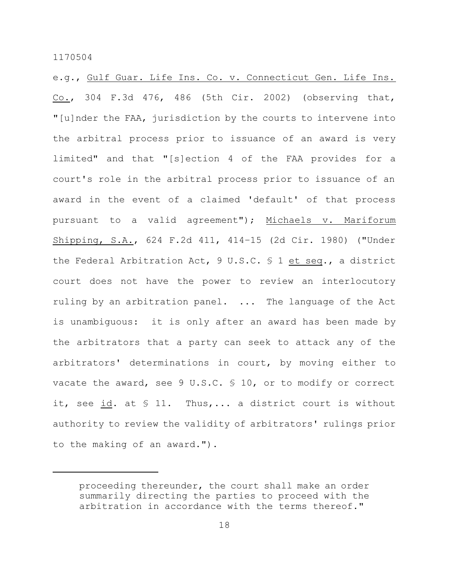e.g., Gulf Guar. Life Ins. Co. v. Connecticut Gen. Life Ins. Co., 304 F.3d 476, 486 (5th Cir. 2002) (observing that, "[u]nder the FAA, jurisdiction by the courts to intervene into the arbitral process prior to issuance of an award is very limited" and that "[s]ection 4 of the FAA provides for a court's role in the arbitral process prior to issuance of an award in the event of a claimed 'default' of that process pursuant to a valid agreement"); Michaels v. Mariforum Shipping, S.A., 624 F.2d 411, 414–15 (2d Cir. 1980) ("Under the Federal Arbitration Act, 9 U.S.C. § 1 et seq., a district court does not have the power to review an interlocutory ruling by an arbitration panel. ... The language of the Act is unambiguous: it is only after an award has been made by the arbitrators that a party can seek to attack any of the arbitrators' determinations in court, by moving either to vacate the award, see 9 U.S.C. § 10, or to modify or correct it, see id. at § 11. Thus,... a district court is without authority to review the validity of arbitrators' rulings prior to the making of an award.").

proceeding thereunder, the court shall make an order summarily directing the parties to proceed with the arbitration in accordance with the terms thereof."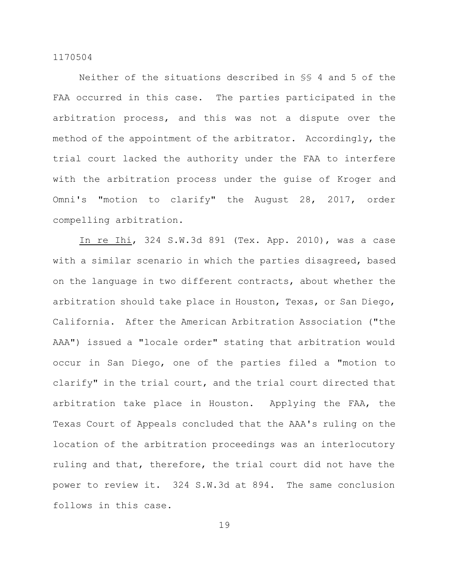Neither of the situations described in §§ 4 and 5 of the FAA occurred in this case. The parties participated in the arbitration process, and this was not a dispute over the method of the appointment of the arbitrator. Accordingly, the trial court lacked the authority under the FAA to interfere with the arbitration process under the guise of Kroger and Omni's "motion to clarify" the August 28, 2017, order compelling arbitration.

In re Ihi, 324 S.W.3d 891 (Tex. App. 2010), was a case with a similar scenario in which the parties disagreed, based on the language in two different contracts, about whether the arbitration should take place in Houston, Texas, or San Diego, California. After the American Arbitration Association ("the AAA") issued a "locale order" stating that arbitration would occur in San Diego, one of the parties filed a "motion to clarify" in the trial court, and the trial court directed that arbitration take place in Houston. Applying the FAA, the Texas Court of Appeals concluded that the AAA's ruling on the location of the arbitration proceedings was an interlocutory ruling and that, therefore, the trial court did not have the power to review it. 324 S.W.3d at 894. The same conclusion follows in this case.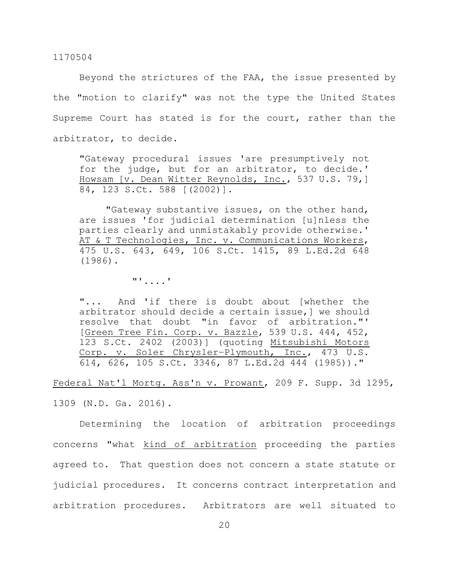Beyond the strictures of the FAA, the issue presented by the "motion to clarify" was not the type the United States Supreme Court has stated is for the court, rather than the arbitrator, to decide.

"Gateway procedural issues 'are presumptively not for the judge, but for an arbitrator, to decide.' Howsam [v. Dean Witter Reynolds, Inc., 537 U.S. 79,] 84, 123 S.Ct. 588 [(2002)].

"Gateway substantive issues, on the other hand, are issues 'for judicial determination [u]nless the parties clearly and unmistakably provide otherwise.' AT & T Technologies, Inc. v. Communications Workers, 475 U.S. 643, 649, 106 S.Ct. 1415, 89 L.Ed.2d 648 (1986).

"'....'

"... And 'if there is doubt about [whether the arbitrator should decide a certain issue,] we should resolve that doubt "in favor of arbitration."' [Green Tree Fin. Corp. v. Bazzle, 539 U.S. 444, 452, 123 S.Ct. 2402 (2003)] (quoting Mitsubishi Motors Corp. v. Soler Chrysler–Plymouth, Inc., 473 U.S. 614, 626, 105 S.Ct. 3346, 87 L.Ed.2d 444 (1985))."

Federal Nat'l Mortg. Ass'n v. Prowant, 209 F. Supp. 3d 1295, 1309 (N.D. Ga. 2016).

Determining the location of arbitration proceedings concerns "what kind of arbitration proceeding the parties agreed to. That question does not concern a state statute or judicial procedures. It concerns contract interpretation and arbitration procedures. Arbitrators are well situated to